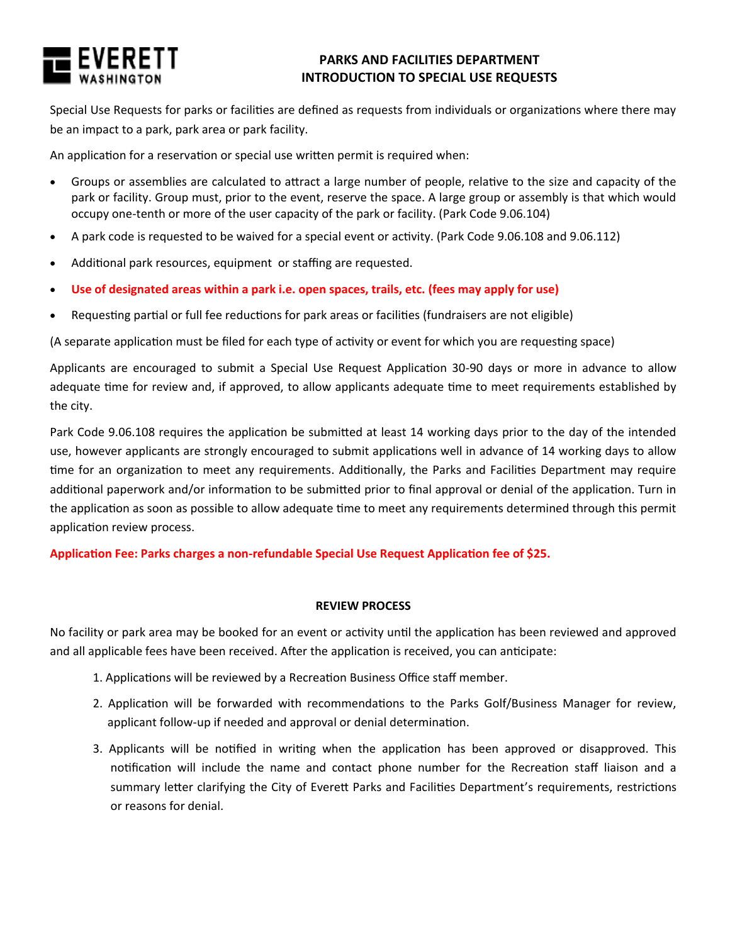

# **PARKS AND FACILITIES DEPARTMENT INTRODUCTION TO SPECIAL USE REQUESTS**

Special Use Requests for parks or facilities are defined as requests from individuals or organizations where there may be an impact to a park, park area or park facility.

An application for a reservation or special use written permit is required when:

- Groups or assemblies are calculated to attract a large number of people, relative to the size and capacity of the park or facility. Group must, prior to the event, reserve the space. A large group or assembly is that which would occupy one-tenth or more of the user capacity of the park or facility. (Park Code 9.06.104)
- A park code is requested to be waived for a special event or activity. (Park Code 9.06.108 and 9.06.112)
- Additional park resources, equipment or staffing are requested.
- **Use of designated areas within a park i.e. open spaces, trails, etc. (fees may apply for use)**
- Requesting partial or full fee reductions for park areas or facilities (fundraisers are not eligible)

(A separate application must be filed for each type of activity or event for which you are requesting space)

Applicants are encouraged to submit a Special Use Request Application 30-90 days or more in advance to allow adequate time for review and, if approved, to allow applicants adequate time to meet requirements established by the city.

Park Code 9.06.108 requires the application be submitted at least 14 working days prior to the day of the intended use, however applicants are strongly encouraged to submit applications well in advance of 14 working days to allow time for an organization to meet any requirements. Additionally, the Parks and Facilities Department may require additional paperwork and/or information to be submitted prior to final approval or denial of the application. Turn in the application as soon as possible to allow adequate time to meet any requirements determined through this permit application review process.

## **Application Fee: Parks charges a non-refundable Special Use Request Application fee of \$25.**

## **REVIEW PROCESS**

No facility or park area may be booked for an event or activity until the application has been reviewed and approved and all applicable fees have been received. After the application is received, you can anticipate:

- 1. Applications will be reviewed by a Recreation Business Office staff member.
- 2. Application will be forwarded with recommendations to the Parks Golf/Business Manager for review, applicant follow-up if needed and approval or denial determination.
- 3. Applicants will be notified in writing when the application has been approved or disapproved. This notification will include the name and contact phone number for the Recreation staff liaison and a summary letter clarifying the City of Everett Parks and Facilities Department's requirements, restrictions or reasons for denial.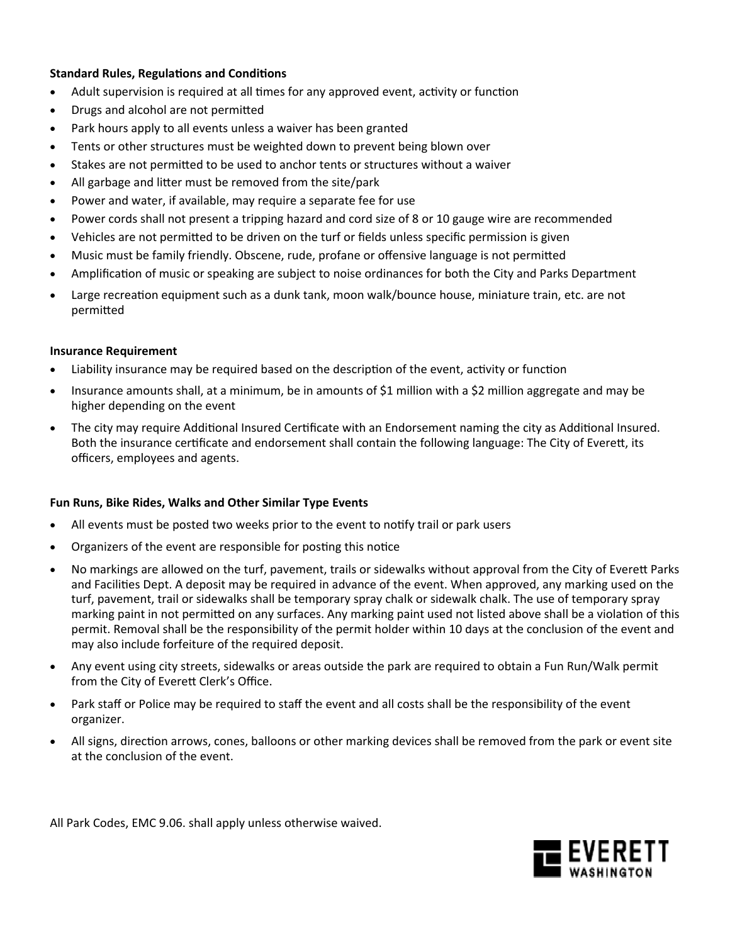## **Standard Rules, Regulations and Conditions**

- Adult supervision is required at all times for any approved event, activity or function
- Drugs and alcohol are not permitted
- Park hours apply to all events unless a waiver has been granted
- Tents or other structures must be weighted down to prevent being blown over
- Stakes are not permitted to be used to anchor tents or structures without a waiver
- All garbage and litter must be removed from the site/park
- Power and water, if available, may require a separate fee for use
- Power cords shall not present a tripping hazard and cord size of 8 or 10 gauge wire are recommended
- Vehicles are not permitted to be driven on the turf or fields unless specific permission is given
- Music must be family friendly. Obscene, rude, profane or offensive language is not permitted
- Amplification of music or speaking are subject to noise ordinances for both the City and Parks Department
- Large recreation equipment such as a dunk tank, moon walk/bounce house, miniature train, etc. are not permitted

## **Insurance Requirement**

- Liability insurance may be required based on the description of the event, activity or function
- Insurance amounts shall, at a minimum, be in amounts of \$1 million with a \$2 million aggregate and may be higher depending on the event
- The city may require Additional Insured Certificate with an Endorsement naming the city as Additional Insured. Both the insurance certificate and endorsement shall contain the following language: The City of Everett, its officers, employees and agents.

## **Fun Runs, Bike Rides, Walks and Other Similar Type Events**

- All events must be posted two weeks prior to the event to notify trail or park users
- Organizers of the event are responsible for posting this notice
- No markings are allowed on the turf, pavement, trails or sidewalks without approval from the City of Everett Parks and Facilities Dept. A deposit may be required in advance of the event. When approved, any marking used on the turf, pavement, trail or sidewalks shall be temporary spray chalk or sidewalk chalk. The use of temporary spray marking paint in not permitted on any surfaces. Any marking paint used not listed above shall be a violation of this permit. Removal shall be the responsibility of the permit holder within 10 days at the conclusion of the event and may also include forfeiture of the required deposit.
- Any event using city streets, sidewalks or areas outside the park are required to obtain a Fun Run/Walk permit from the City of Everett Clerk's Office.
- Park staff or Police may be required to staff the event and all costs shall be the responsibility of the event organizer.
- All signs, direction arrows, cones, balloons or other marking devices shall be removed from the park or event site at the conclusion of the event.

All Park Codes, EMC 9.06. shall apply unless otherwise waived.

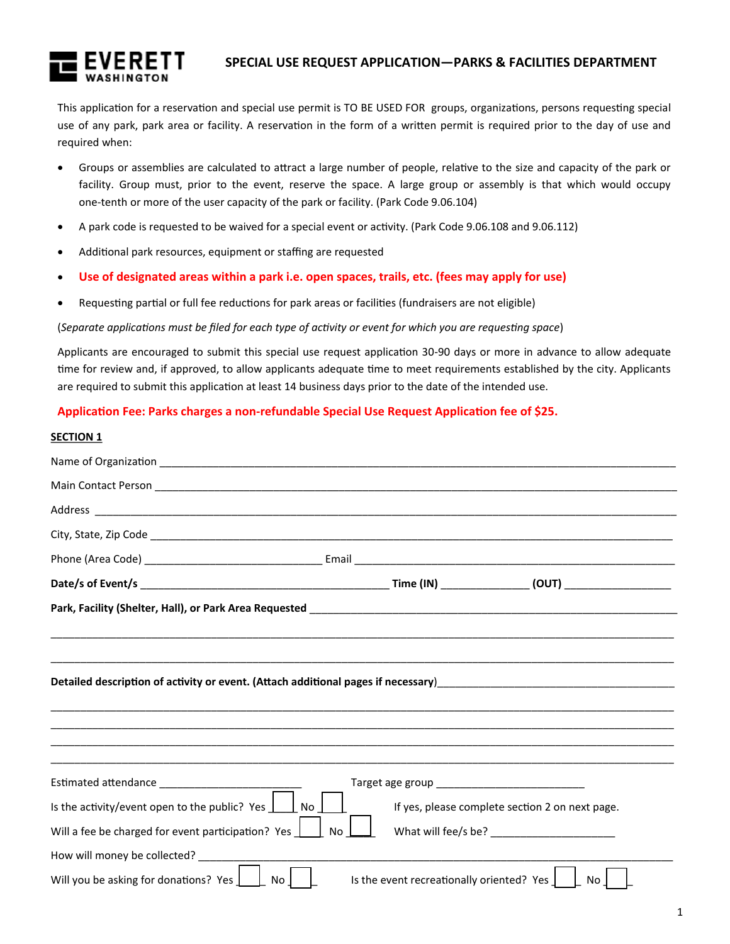

# **SPECIAL USE REQUEST APPLICATION—PARKS & FACILITIES DEPARTMENT**

This application for a reservation and special use permit is TO BE USED FOR groups, organizations, persons requesting special use of any park, park area or facility. A reservation in the form of a written permit is required prior to the day of use and required when:

- Groups or assemblies are calculated to attract a large number of people, relative to the size and capacity of the park or facility. Group must, prior to the event, reserve the space. A large group or assembly is that which would occupy one-tenth or more of the user capacity of the park or facility. (Park Code 9.06.104)
- A park code is requested to be waived for a special event or activity. (Park Code 9.06.108 and 9.06.112)
- Additional park resources, equipment or staffing are requested
- **Use of designated areas within a park i.e. open spaces, trails, etc. (fees may apply for use)**
- Requesting partial or full fee reductions for park areas or facilities (fundraisers are not eligible)

### (*Separate applications must be filed for each type of activity or event for which you are requesting space*)

Applicants are encouraged to submit this special use request application 30-90 days or more in advance to allow adequate time for review and, if approved, to allow applicants adequate time to meet requirements established by the city. Applicants are required to submit this application at least 14 business days prior to the date of the intended use.

## **Application Fee: Parks charges a non-refundable Special Use Request Application fee of \$25.**

#### **SECTION 1**

| Is the activity/event open to the public? Yes $\boxed{\phantom{a}}$ No $\boxed{\phantom{a}}$ | If yes, please complete section 2 on next page. |  |
|----------------------------------------------------------------------------------------------|-------------------------------------------------|--|
| Will a fee be charged for event participation? Yes $\Box$                                    | <b>No</b>                                       |  |
| How will money be collected?                                                                 |                                                 |  |
| Will you be asking for donations? Yes [<br>No.                                               | Is the event recreationally oriented? Yes<br>No |  |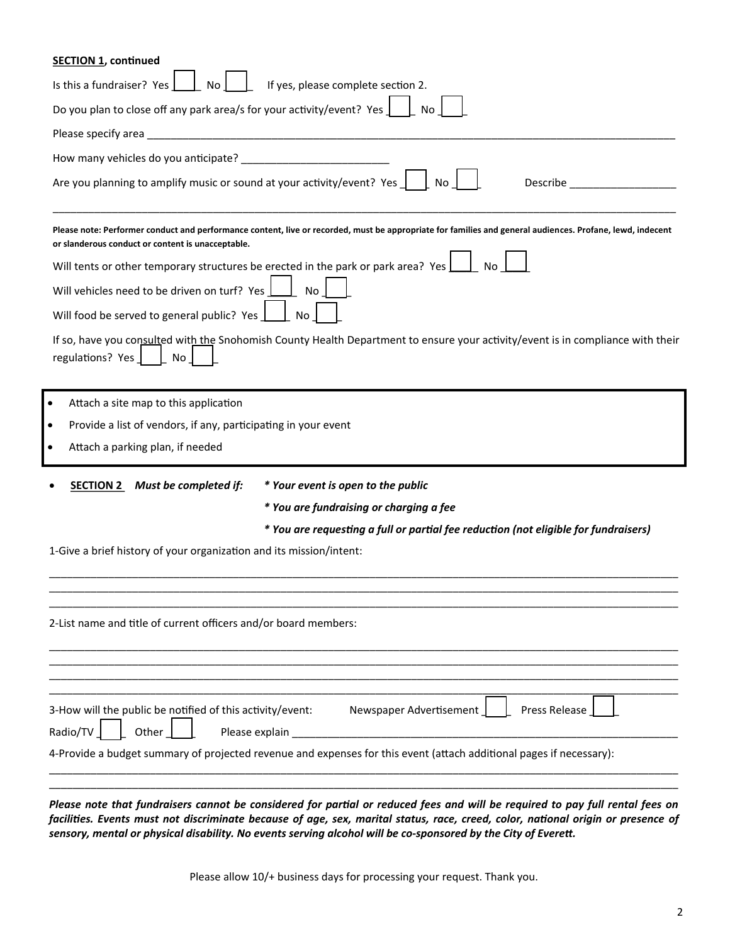| <b>SECTION 1, continued</b>                                                                                                                                                                                    |
|----------------------------------------------------------------------------------------------------------------------------------------------------------------------------------------------------------------|
| If yes, please complete section 2.<br>Is this a fundraiser? Yes<br>No                                                                                                                                          |
| Do you plan to close off any park area/s for your activity/event? Yes $\rfloor$                                                                                                                                |
| Please specify area                                                                                                                                                                                            |
| How many vehicles do you anticipate?                                                                                                                                                                           |
| Are you planning to amplify music or sound at your activity/event? Yes<br><b>No</b><br>Describe                                                                                                                |
| Please note: Performer conduct and performance content, live or recorded, must be appropriate for families and general audiences. Profane, lewd, indecent<br>or slanderous conduct or content is unacceptable. |
| Will tents or other temporary structures be erected in the park or park area? Yes                                                                                                                              |
| Will vehicles need to be driven on turf? Yes<br>No                                                                                                                                                             |
| Will food be served to general public? Yes<br>No                                                                                                                                                               |
| If so, have you consulted with the Snohomish County Health Department to ensure your activity/event is in compliance with their<br>regulations? Yes<br>No                                                      |
| Attach a site map to this application                                                                                                                                                                          |
| Provide a list of vendors, if any, participating in your event<br>٠                                                                                                                                            |
| Attach a parking plan, if needed                                                                                                                                                                               |
| <b>SECTION 2</b> Must be completed if:<br>* Your event is open to the public                                                                                                                                   |
| * You are fundraising or charging a fee                                                                                                                                                                        |
| * You are requesting a full or partial fee reduction (not eligible for fundraisers)                                                                                                                            |
| 1-Give a brief history of your organization and its mission/intent:                                                                                                                                            |
| 2-List name and title of current officers and/or board members:                                                                                                                                                |
|                                                                                                                                                                                                                |
|                                                                                                                                                                                                                |
|                                                                                                                                                                                                                |
| 3-How will the public be notified of this activity/event:<br>Newspaper Advertisement<br>Press Release                                                                                                          |
| Other<br>Radio/TV<br>Please explain                                                                                                                                                                            |
| 4-Provide a budget summary of projected revenue and expenses for this event (attach additional pages if necessary):                                                                                            |
|                                                                                                                                                                                                                |
|                                                                                                                                                                                                                |

*facilities. Events must not discriminate because of age, sex, marital status, race, creed, color, national origin or presence of sensory, mental or physical disability. No events serving alcohol will be co-sponsored by the City of Everett.*

Please allow 10/+ business days for processing your request. Thank you.